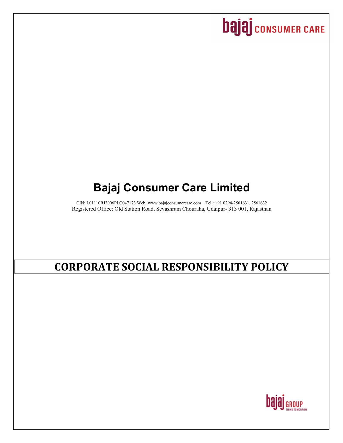# **bajaj** consumer CARE

## **Bajaj Consumer Care Limited**

CIN: L01110RJ2006PLC047173 Web: [www.bajajconsumercare.com](http://www.bajajconsumercare.com/) Tel.: +91 0294-2561631, 2561632 Registered Office: Old Station Road, Sevashram Chouraha, Udaipur- 313 001, Rajasthan

## **CORPORATE SOCIAL RESPONSIBILITY POLICY**

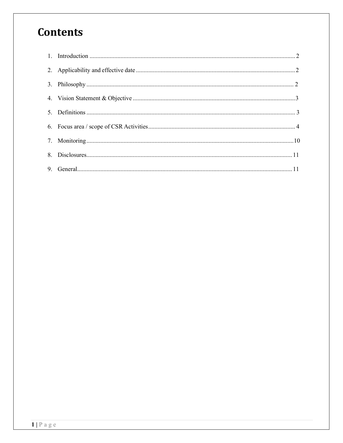## **Contents**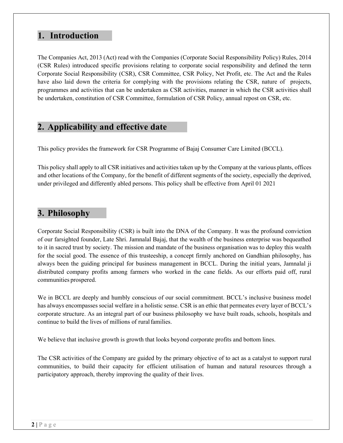## **1. Introduction**

The Companies Act, 2013 (Act) read with the Companies (Corporate Social Responsibility Policy) Rules, 2014 (CSR Rules) introduced specific provisions relating to corporate social responsibility and defined the term Corporate Social Responsibility (CSR), CSR Committee, CSR Policy, Net Profit, etc. The Act and the Rules have also laid down the criteria for complying with the provisions relating the CSR, nature of projects, programmes and activities that can be undertaken as CSR activities, manner in which the CSR activities shall be undertaken, constitution of CSR Committee, formulation of CSR Policy, annual repost on CSR, etc.

## <span id="page-2-0"></span>**2. Applicability and effective date**

This policy provides the framework for CSR Programme of Bajaj Consumer Care Limited (BCCL).

This policy shall apply to all CSR initiatives and activities taken up by the Company at the various plants, offices and other locations of the Company, for the benefit of different segments of the society, especially the deprived, under privileged and differently abled persons. This policy shall be effective from April 01 2021

## <span id="page-2-1"></span>**3. Philosophy**

Corporate Social Responsibility (CSR) is built into the DNA of the Company. It was the profound conviction of our farsighted founder, Late Shri. Jamnalal Bajaj, that the wealth of the business enterprise was bequeathed to it in sacred trust by society. The mission and mandate of the business organisation was to deploy this wealth for the social good. The essence of this trusteeship, a concept firmly anchored on Gandhian philosophy, has always been the guiding principal for business management in BCCL. During the initial years, Jamnalal ji distributed company profits among farmers who worked in the cane fields. As our efforts paid off, rural communities prospered.

We in BCCL are deeply and humbly conscious of our social commitment. BCCL's inclusive business model has always encompasses social welfare in a holistic sense. CSR is an ethic that permeates every layer of BCCL's corporate structure. As an integral part of our business philosophy we have built roads, schools, hospitals and continue to build the lives of millions of ruralfamilies.

We believe that inclusive growth is growth that looks beyond corporate profits and bottom lines.

The CSR activities of the Company are guided by the primary objective of to act as a catalyst to support rural communities, to build their capacity for efficient utilisation of human and natural resources through a participatory approach, thereby improving the quality of their lives.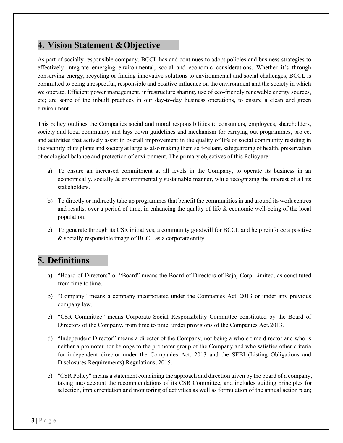## <span id="page-3-0"></span>**4. Vision Statement &Objective**

As part of socially responsible company, BCCL has and continues to adopt policies and business strategies to effectively integrate emerging environmental, social and economic considerations. Whether it's through conserving energy, recycling or finding innovative solutions to environmental and social challenges, BCCL is committed to being a respectful, responsible and positive influence on the environment and the society in which we operate. Efficient power management, infrastructure sharing, use of eco-friendly renewable energy sources, etc; are some of the inbuilt practices in our day-to-day business operations, to ensure a clean and green environment.

This policy outlines the Companies social and moral responsibilities to consumers, employees, shareholders, society and local community and lays down guidelines and mechanism for carrying out programmes, project and activities that actively assist in overall improvement in the quality of life of social community residing in the vicinity of its plants and society at large as also making them self-reliant, safeguarding of health, preservation of ecological balance and protection of environment. The primary objectives of this Policyare:-

- a) To ensure an increased commitment at all levels in the Company, to operate its business in an economically, socially & environmentally sustainable manner, while recognizing the interest of all its stakeholders.
- b) To directly or indirectly take up programmes that benefit the communities in and around its work centres and results, over a period of time, in enhancing the quality of life & economic well-being of the local population.
- c) To generate through its CSR initiatives, a community goodwill for BCCL and help reinforce a positive & socially responsible image of BCCL as a corporate entity.

## <span id="page-3-1"></span>**5. Definitions**

- a) "Board of Directors" or "Board" means the Board of Directors of Bajaj Corp Limited, as constituted from time to time.
- b) "Company" means a company incorporated under the Companies Act, 2013 or under any previous company law.
- c) "CSR Committee" means Corporate Social Responsibility Committee constituted by the Board of Directors of the Company, from time to time, under provisions of the Companies Act,2013.
- d) "Independent Director" means a director of the Company, not being a whole time director and who is neither a promoter nor belongs to the promoter group of the Company and who satisfies other criteria for independent director under the Companies Act, 2013 and the SEBI (Listing Obligations and Disclosures Requirements) Regulations, 2015.
- e) "CSR Policy" means a statement containing the approach and direction given by the board of a company, taking into account the recommendations of its CSR Committee, and includes guiding principles for selection, implementation and monitoring of activities as well as formulation of the annual action plan;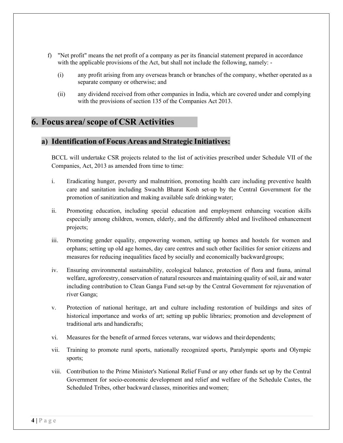- f) "Net profit" means the net profit of a company as per its financial statement prepared in accordance with the applicable provisions of the Act, but shall not include the following, namely:
	- (i) any profit arising from any overseas branch or branches of the company, whether operated as a separate company or otherwise; and
	- (ii) any dividend received from other companies in India, which are covered under and complying with the provisions of section 135 of the Companies Act 2013.

#### <span id="page-4-0"></span>**6. Focus area/ scope of CSR Activities**

#### **a) Identification of Focus Areas and Strategic Initiatives:**

BCCL will undertake CSR projects related to the list of activities prescribed under Schedule VII of the Companies, Act, 2013 as amended from time to time:

- i. Eradicating hunger, poverty and malnutrition, promoting health care including preventive health care and sanitation including Swachh Bharat Kosh set-up by the Central Government for the promotion of sanitization and making available safe drinkingwater;
- ii. Promoting education, including special education and employment enhancing vocation skills especially among children, women, elderly, and the differently abled and livelihood enhancement projects;
- iii. Promoting gender equality, empowering women, setting up homes and hostels for women and orphans; setting up old age homes, day care centres and such other facilities for senior citizens and measures for reducing inequalities faced by socially and economically backwardgroups;
- iv. Ensuring environmental sustainability, ecological balance, protection of flora and fauna, animal welfare, agroforestry, conservation of natural resources and maintaining quality of soil, air and water including contribution to Clean Ganga Fund set-up by the Central Government for rejuvenation of river Ganga;
- v. Protection of national heritage, art and culture including restoration of buildings and sites of historical importance and works of art; setting up public libraries; promotion and development of traditional arts and handicrafts;
- vi. Measures for the benefit of armed forces veterans, war widows and theirdependents;
- vii. Training to promote rural sports, nationally recognized sports, Paralympic sports and Olympic sports;
- viii. Contribution to the Prime Minister's National Relief Fund or any other funds set up by the Central Government for socio-economic development and relief and welfare of the Schedule Castes, the Scheduled Tribes, other backward classes, minorities andwomen;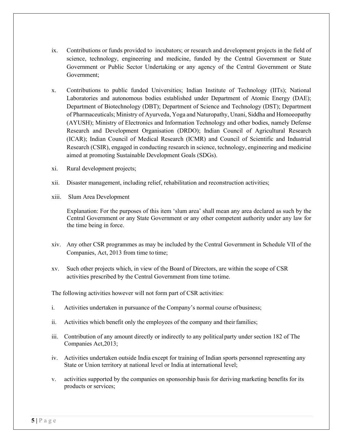- ix. Contributions or funds provided to incubators; or research and development projects in the field of science, technology, engineering and medicine, funded by the Central Government or State Government or Public Sector Undertaking or any agency of the Central Government or State Government;
- x. Contributions to public funded Universities; Indian Institute of Technology (IITs); National Laboratories and autonomous bodies established under Department of Atomic Energy (DAE); Department of Biotechnology (DBT); Department of Science and Technology (DST); Department of Pharmaceuticals; Ministry of Ayurveda, Yoga and Naturopathy, Unani, Siddha and Homoeopathy (AYUSH); Ministry of Electronics and Information Technology and other bodies, namely Defense Research and Development Organisation (DRDO); Indian Council of Agricultural Research (ICAR); Indian Council of Medical Research (ICMR) and Council of Scientific and Industrial Research (CSIR), engaged in conducting research in science, technology, engineering and medicine aimed at promoting Sustainable Development Goals (SDGs).
- xi. Rural development projects;
- xii. Disaster management, including relief, rehabilitation and reconstruction activities;
- xiii. Slum Area Development

Explanation: For the purposes of this item 'slum area' shall mean any area declared as such by the Central Government or any State Government or any other competent authority under any law for the time being in force.

- xiv. Any other CSR programmes as may be included by the Central Government in Schedule VII of the Companies, Act, 2013 from time to time;
- xv. Such other projects which, in view of the Board of Directors, are within the scope of CSR activities prescribed by the Central Government from time totime.

The following activities however will not form part of CSR activities:

- i. Activities undertaken in pursuance of the Company's normal course of business;
- ii. Activities which benefit only the employees of the company and their families;
- iii. Contribution of any amount directly or indirectly to any politicalparty under section 182 of The Companies Act,2013;
- iv. Activities undertaken outside India except for training of Indian sports personnel representing any State or Union territory at national level or India at international level;
- v. activities supported by the companies on sponsorship basis for deriving marketing benefits for its products or services;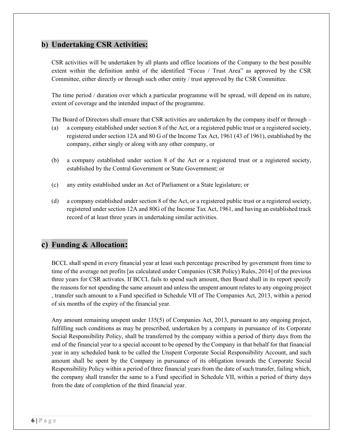#### **b) Undertaking CSR Activities:**

CSR activities will be undertaken by all plants and office locations of the Company to the best possible extent within the definition ambit of the identified "Focus / Trust Area" as approved by the CSR Committee, either directly or through such other entity / trust approved by the CSR Committee.

The time period / duration over which a particular programme will be spread, will depend on its nature, extent of coverage and the intended impact of the programme.

The Board of Directors shall ensure that CSR activities are undertaken by the company itself or through –

- (a) a company established under section 8 of the Act, or a registered public trust or a registered society, registered under section 12A and 80 G of the Income Tax Act, 1961 (43 of 1961), established by the company, either singly or along with any other company, or
- (b) a company established under section 8 of the Act or a registered trust or a registered society, established by the Central Government or State Government; or
- (c) any entity established under an Act of Parliament or a State legislature; or
- (d) a company established under section 8 of the Act, or a registered public trust or a registered society, registered under section 12A and 80G of the Income Tax Act, 1961, and having an established track record of at least three years in undertaking similar activities.

### **c) Funding & Allocation:**

BCCL shall spend in every financial year at least such percentage prescribed by government from time to time of the average net profits [as calculated under Companies (CSR Policy) Rules, 2014] of the previous three years for CSR activates. If BCCL fails to spend such amount, then Board shall in its report specify the reasons for not spending the same amount and unless the unspent amount relates to any ongoing project , transfer such amount to a Fund specified in Schedule VII of The Companies Act, 2013, within a period of six months of the expiry of the financial year.

Any amount remaining unspent under 135(5) of Companies Act, 2013, pursuant to any ongoing project, fulfilling such conditions as may be prescribed, undertaken by a company in pursuance of its Corporate Social Responsibility Policy, shall be transferred by the company within a period of thirty days from the end of the financial year to a special account to be opened by the Company in that behalf for that financial year in any scheduled bank to be called the Unspent Corporate Social Responsibility Account, and such amount shall be spent by the Company in pursuance of its obligation towards the Corporate Social Responsibility Policy within a period of three financial years from the date of such transfer, failing which, the company shall transfer the same to a Fund specified in Schedule VII, within a period of thirty days from the date of completion of the third financial year.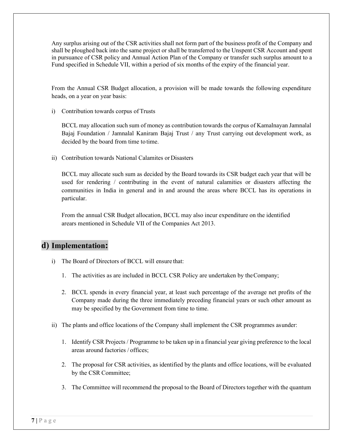Any surplus arising out of the CSR activities shall not form part of the business profit of the Company and shall be ploughed back into the same project or shall be transferred to the Unspent CSR Account and spent in pursuance of CSR policy and Annual Action Plan of the Company or transfer such surplus amount to a Fund specified in Schedule VII, within a period of six months of the expiry of the financial year.

From the Annual CSR Budget allocation, a provision will be made towards the following expenditure heads, on a year on year basis:

i) Contribution towards corpus of Trusts

BCCL may allocation such sum of money as contribution towards the corpus of Kamalnayan Jamnalal Bajaj Foundation / Jamnalal Kaniram Bajaj Trust / any Trust carrying out development work, as decided by the board from time to time.

ii) Contribution towards National Calamites or Disasters

BCCL may allocate such sum as decided by the Board towards its CSR budget each year that will be used for rendering / contributing in the event of natural calamities or disasters affecting the communities in India in general and in and around the areas where BCCL has its operations in particular.

From the annual CSR Budget allocation, BCCL may also incur expenditure on the identified arears mentioned in Schedule VII of the Companies Act 2013.

### **d) Implementation:**

- i) The Board of Directors of BCCL will ensure that:
	- 1. The activities as are included in BCCL CSR Policy are undertaken by theCompany;
	- 2. BCCL spends in every financial year, at least such percentage of the average net profits of the Company made during the three immediately preceding financial years or such other amount as may be specified by the Government from time to time.
- ii) The plants and office locations of the Company shall implement the CSR programmes asunder:
	- 1. Identify CSR Projects / Programme to be taken up in a financial year giving preference to the local areas around factories / offices;
	- 2. The proposal for CSR activities, as identified by the plants and office locations, will be evaluated by the CSR Committee;
	- 3. The Committee will recommend the proposal to the Board of Directors together with the quantum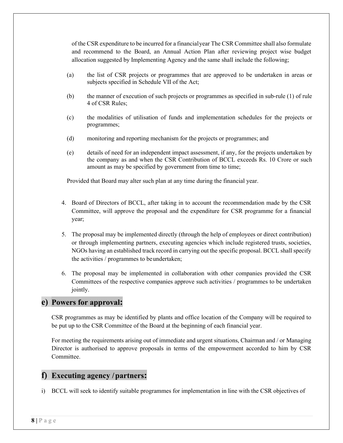of the CSR expenditure to be incurred for a financialyear The CSR Committee shall also formulate and recommend to the Board, an Annual Action Plan after reviewing project wise budget allocation suggested by Implementing Agency and the same shall include the following;

- (a) the list of CSR projects or programmes that are approved to be undertaken in areas or subjects specified in Schedule VII of the Act;
- (b) the manner of execution of such projects or programmes as specified in sub-rule (1) of rule 4 of CSR Rules;
- (c) the modalities of utilisation of funds and implementation schedules for the projects or programmes;
- (d) monitoring and reporting mechanism for the projects or programmes; and
- (e) details of need for an independent impact assessment, if any, for the projects undertaken by the company as and when the CSR Contribution of BCCL exceeds Rs. 10 Crore or such amount as may be specified by government from time to time;

Provided that Board may alter such plan at any time during the financial year.

- 4. Board of Directors of BCCL, after taking in to account the recommendation made by the CSR Committee, will approve the proposal and the expenditure for CSR programme for a financial year;
- 5. The proposal may be implemented directly (through the help of employees or direct contribution) or through implementing partners, executing agencies which include registered trusts, societies, NGOs having an established track record in carrying out the specific proposal. BCCL shall specify the activities / programmes to beundertaken;
- 6. The proposal may be implemented in collaboration with other companies provided the CSR Committees of the respective companies approve such activities / programmes to be undertaken jointly.

#### **e) Powers for approval:**

CSR programmes as may be identified by plants and office location of the Company will be required to be put up to the CSR Committee of the Board at the beginning of each financial year.

For meeting the requirements arising out of immediate and urgent situations, Chairman and / or Managing Director is authorised to approve proposals in terms of the empowerment accorded to him by CSR Committee.

#### **f) Executing agency /partners:**

i) BCCL will seek to identify suitable programmes for implementation in line with the CSR objectives of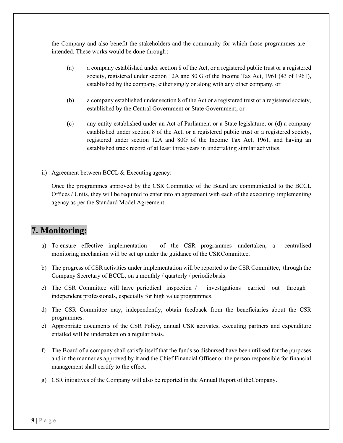the Company and also benefit the stakeholders and the community for which those programmes are intended. These works would be done through :

- (a) a company established under section 8 of the Act, or a registered public trust or a registered society, registered under section 12A and 80 G of the Income Tax Act, 1961 (43 of 1961), established by the company, either singly or along with any other company, or
- (b) a company established under section 8 of the Act or a registered trust or a registered society, established by the Central Government or State Government; or
- (c) any entity established under an Act of Parliament or a State legislature; or (d) a company established under section 8 of the Act, or a registered public trust or a registered society, registered under section 12A and 80G of the Income Tax Act, 1961, and having an established track record of at least three years in undertaking similar activities.
- ii) Agreement between BCCL & Executing agency:

Once the programmes approved by the CSR Committee of the Board are communicated to the BCCL Offices / Units, they will be required to enter into an agreement with each of the executing/ implementing agency as per the Standard Model Agreement.

## <span id="page-9-0"></span>**7. Monitoring:**

- a) To ensure effective implementation of the CSR programmes undertaken, a centralised monitoring mechanism will be set up under the guidance of the CSRCommittee.
- b) The progress of CSR activities under implementation will be reported to the CSR Committee, through the Company Secretary of BCCL, on a monthly / quarterly / periodicbasis.
- c) The CSR Committee will have periodical inspection / investigations carried out through independent professionals, especially for high value programmes.
- d) The CSR Committee may, independently, obtain feedback from the beneficiaries about the CSR programmes.
- e) Appropriate documents of the CSR Policy, annual CSR activates, executing partners and expenditure entailed will be undertaken on a regular basis.
- f) The Board of a company shall satisfy itself that the funds so disbursed have been utilised for the purposes and in the manner as approved by it and the Chief Financial Officer or the person responsible for financial management shall certify to the effect.
- g) CSR initiatives of the Company will also be reported in the Annual Report of theCompany.